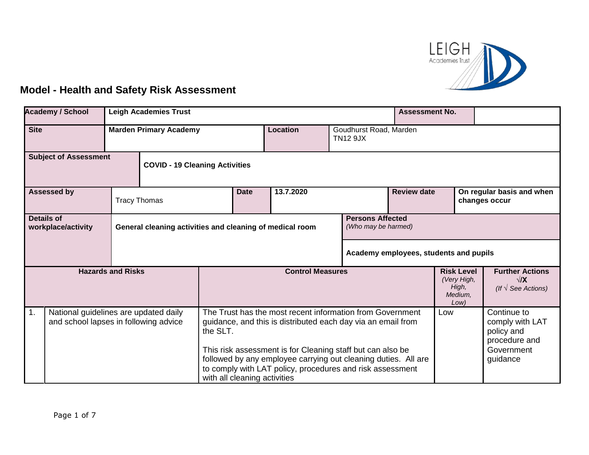

## **Model - Health and Safety Risk Assessment**

|                                                                       | <b>Academy / School</b><br><b>Leigh Academies Trust</b><br><b>Assessment No.</b> |  |                         |                                                                                                            |           |                                                                                                                                                                                                                                                                                                                                                        |                                                              |                                                                      |  |                                                                                         |  |
|-----------------------------------------------------------------------|----------------------------------------------------------------------------------|--|-------------------------|------------------------------------------------------------------------------------------------------------|-----------|--------------------------------------------------------------------------------------------------------------------------------------------------------------------------------------------------------------------------------------------------------------------------------------------------------------------------------------------------------|--------------------------------------------------------------|----------------------------------------------------------------------|--|-----------------------------------------------------------------------------------------|--|
| <b>Site</b><br><b>Marden Primary Academy</b>                          |                                                                                  |  |                         | <b>Location</b>                                                                                            |           | Goudhurst Road, Marden<br><b>TN12 9JX</b>                                                                                                                                                                                                                                                                                                              |                                                              |                                                                      |  |                                                                                         |  |
| <b>Subject of Assessment</b><br><b>COVID - 19 Cleaning Activities</b> |                                                                                  |  |                         |                                                                                                            |           |                                                                                                                                                                                                                                                                                                                                                        |                                                              |                                                                      |  |                                                                                         |  |
| <b>Assessed by</b><br><b>Tracy Thomas</b>                             |                                                                                  |  |                         | <b>Date</b>                                                                                                | 13.7.2020 | <b>Review date</b>                                                                                                                                                                                                                                                                                                                                     |                                                              | On regular basis and when<br>changes occur                           |  |                                                                                         |  |
| <b>Details of</b><br>workplace/activity                               |                                                                                  |  |                         | <b>Persons Affected</b><br>(Who may be harmed)<br>General cleaning activities and cleaning of medical room |           |                                                                                                                                                                                                                                                                                                                                                        |                                                              |                                                                      |  |                                                                                         |  |
|                                                                       |                                                                                  |  |                         |                                                                                                            |           |                                                                                                                                                                                                                                                                                                                                                        |                                                              | Academy employees, students and pupils                               |  |                                                                                         |  |
| <b>Hazards and Risks</b>                                              |                                                                                  |  | <b>Control Measures</b> |                                                                                                            |           |                                                                                                                                                                                                                                                                                                                                                        | <b>Risk Level</b><br>(Very High,<br>High,<br>Medium,<br>Low) | <b>Further Actions</b><br>$\sqrt{X}$<br>(If $\sqrt{\ }$ See Actions) |  |                                                                                         |  |
| 1.                                                                    | National guidelines are updated daily<br>and school lapses in following advice   |  |                         | the SLT.                                                                                                   |           | The Trust has the most recent information from Government<br>guidance, and this is distributed each day via an email from<br>This risk assessment is for Cleaning staff but can also be<br>followed by any employee carrying out cleaning duties. All are<br>to comply with LAT policy, procedures and risk assessment<br>with all cleaning activities |                                                              | Low                                                                  |  | Continue to<br>comply with LAT<br>policy and<br>procedure and<br>Government<br>guidance |  |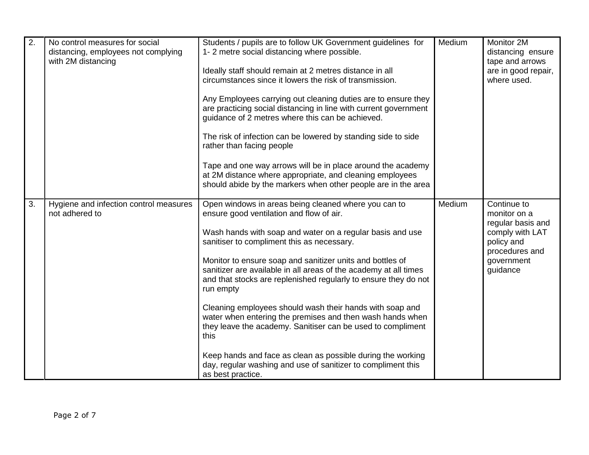| $\overline{2}$ . | No control measures for social<br>distancing, employees not complying<br>with 2M distancing | Students / pupils are to follow UK Government guidelines for<br>1-2 metre social distancing where possible.<br>Ideally staff should remain at 2 metres distance in all<br>circumstances since it lowers the risk of transmission.<br>Any Employees carrying out cleaning duties are to ensure they<br>are practicing social distancing in line with current government<br>guidance of 2 metres where this can be achieved.<br>The risk of infection can be lowered by standing side to side<br>rather than facing people<br>Tape and one way arrows will be in place around the academy<br>at 2M distance where appropriate, and cleaning employees<br>should abide by the markers when other people are in the area                                                             | Medium | Monitor 2M<br>distancing ensure<br>tape and arrows<br>are in good repair,<br>where used.                                      |
|------------------|---------------------------------------------------------------------------------------------|----------------------------------------------------------------------------------------------------------------------------------------------------------------------------------------------------------------------------------------------------------------------------------------------------------------------------------------------------------------------------------------------------------------------------------------------------------------------------------------------------------------------------------------------------------------------------------------------------------------------------------------------------------------------------------------------------------------------------------------------------------------------------------|--------|-------------------------------------------------------------------------------------------------------------------------------|
| 3.               | Hygiene and infection control measures<br>not adhered to                                    | Open windows in areas being cleaned where you can to<br>ensure good ventilation and flow of air.<br>Wash hands with soap and water on a regular basis and use<br>sanitiser to compliment this as necessary.<br>Monitor to ensure soap and sanitizer units and bottles of<br>sanitizer are available in all areas of the academy at all times<br>and that stocks are replenished regularly to ensure they do not<br>run empty<br>Cleaning employees should wash their hands with soap and<br>water when entering the premises and then wash hands when<br>they leave the academy. Sanitiser can be used to compliment<br>this<br>Keep hands and face as clean as possible during the working<br>day, regular washing and use of sanitizer to compliment this<br>as best practice. | Medium | Continue to<br>monitor on a<br>regular basis and<br>comply with LAT<br>policy and<br>procedures and<br>government<br>guidance |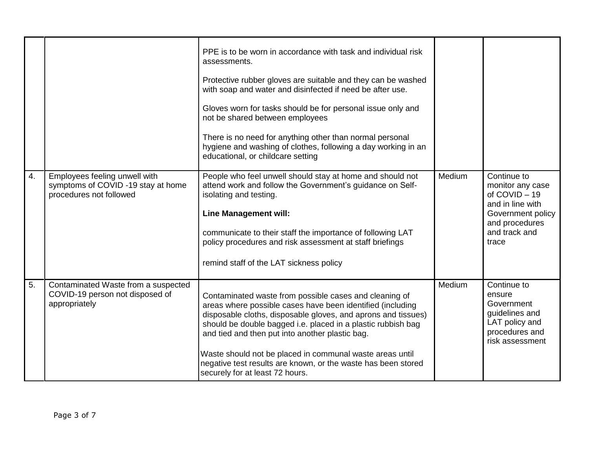|    |                                                                                                | PPE is to be worn in accordance with task and individual risk<br>assessments.<br>Protective rubber gloves are suitable and they can be washed<br>with soap and water and disinfected if need be after use.<br>Gloves worn for tasks should be for personal issue only and<br>not be shared between employees<br>There is no need for anything other than normal personal<br>hygiene and washing of clothes, following a day working in an<br>educational, or childcare setting |        |                                                                                                                                     |
|----|------------------------------------------------------------------------------------------------|--------------------------------------------------------------------------------------------------------------------------------------------------------------------------------------------------------------------------------------------------------------------------------------------------------------------------------------------------------------------------------------------------------------------------------------------------------------------------------|--------|-------------------------------------------------------------------------------------------------------------------------------------|
| 4. | Employees feeling unwell with<br>symptoms of COVID -19 stay at home<br>procedures not followed | People who feel unwell should stay at home and should not<br>attend work and follow the Government's guidance on Self-<br>isolating and testing.<br><b>Line Management will:</b><br>communicate to their staff the importance of following LAT<br>policy procedures and risk assessment at staff briefings<br>remind staff of the LAT sickness policy                                                                                                                          | Medium | Continue to<br>monitor any case<br>of COVID-19<br>and in line with<br>Government policy<br>and procedures<br>and track and<br>trace |
| 5. | Contaminated Waste from a suspected<br>COVID-19 person not disposed of<br>appropriately        | Contaminated waste from possible cases and cleaning of<br>areas where possible cases have been identified (including<br>disposable cloths, disposable gloves, and aprons and tissues)<br>should be double bagged i.e. placed in a plastic rubbish bag<br>and tied and then put into another plastic bag.<br>Waste should not be placed in communal waste areas until<br>negative test results are known, or the waste has been stored<br>securely for at least 72 hours.       | Medium | Continue to<br>ensure<br>Government<br>guidelines and<br>LAT policy and<br>procedures and<br>risk assessment                        |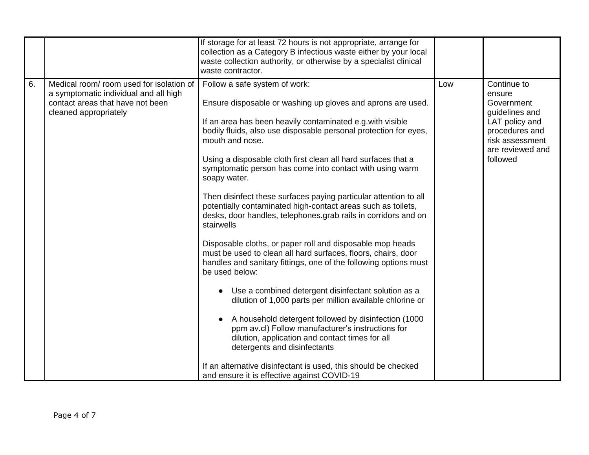|    |                                                                                                                                               | If storage for at least 72 hours is not appropriate, arrange for<br>collection as a Category B infectious waste either by your local<br>waste collection authority, or otherwise by a specialist clinical<br>waste contractor.                                                                                                                                                                                                                                                                                                                                                                                                                                                                                                                                                                                                                                                                                                                                                                                                                                                                                                                                                                                                                                               |     |                                                                                                                                              |
|----|-----------------------------------------------------------------------------------------------------------------------------------------------|------------------------------------------------------------------------------------------------------------------------------------------------------------------------------------------------------------------------------------------------------------------------------------------------------------------------------------------------------------------------------------------------------------------------------------------------------------------------------------------------------------------------------------------------------------------------------------------------------------------------------------------------------------------------------------------------------------------------------------------------------------------------------------------------------------------------------------------------------------------------------------------------------------------------------------------------------------------------------------------------------------------------------------------------------------------------------------------------------------------------------------------------------------------------------------------------------------------------------------------------------------------------------|-----|----------------------------------------------------------------------------------------------------------------------------------------------|
| 6. | Medical room/room used for isolation of<br>a symptomatic individual and all high<br>contact areas that have not been<br>cleaned appropriately | Follow a safe system of work:<br>Ensure disposable or washing up gloves and aprons are used.<br>If an area has been heavily contaminated e.g. with visible<br>bodily fluids, also use disposable personal protection for eyes,<br>mouth and nose.<br>Using a disposable cloth first clean all hard surfaces that a<br>symptomatic person has come into contact with using warm<br>soapy water.<br>Then disinfect these surfaces paying particular attention to all<br>potentially contaminated high-contact areas such as toilets,<br>desks, door handles, telephones.grab rails in corridors and on<br>stairwells<br>Disposable cloths, or paper roll and disposable mop heads<br>must be used to clean all hard surfaces, floors, chairs, door<br>handles and sanitary fittings, one of the following options must<br>be used below:<br>Use a combined detergent disinfectant solution as a<br>dilution of 1,000 parts per million available chlorine or<br>A household detergent followed by disinfection (1000)<br>ppm av.cl) Follow manufacturer's instructions for<br>dilution, application and contact times for all<br>detergents and disinfectants<br>If an alternative disinfectant is used, this should be checked<br>and ensure it is effective against COVID-19 | Low | Continue to<br>ensure<br>Government<br>guidelines and<br>LAT policy and<br>procedures and<br>risk assessment<br>are reviewed and<br>followed |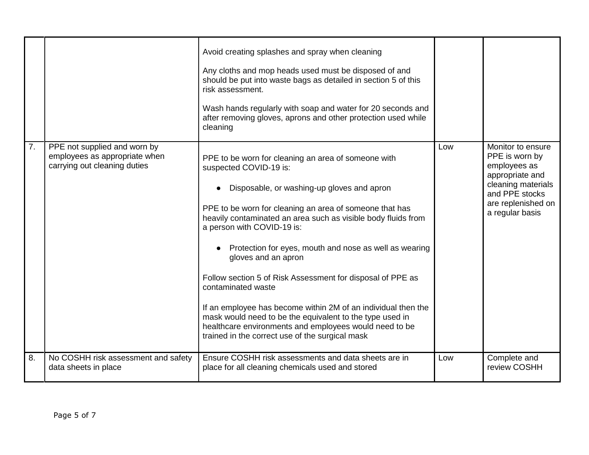|    |                                                                                               | Avoid creating splashes and spray when cleaning<br>Any cloths and mop heads used must be disposed of and<br>should be put into waste bags as detailed in section 5 of this<br>risk assessment.<br>Wash hands regularly with soap and water for 20 seconds and<br>after removing gloves, aprons and other protection used while<br>cleaning                                                                                                                                                                                                                                                                                                                                                           |     |                                                                                                                                                         |
|----|-----------------------------------------------------------------------------------------------|------------------------------------------------------------------------------------------------------------------------------------------------------------------------------------------------------------------------------------------------------------------------------------------------------------------------------------------------------------------------------------------------------------------------------------------------------------------------------------------------------------------------------------------------------------------------------------------------------------------------------------------------------------------------------------------------------|-----|---------------------------------------------------------------------------------------------------------------------------------------------------------|
| 7. | PPE not supplied and worn by<br>employees as appropriate when<br>carrying out cleaning duties | PPE to be worn for cleaning an area of someone with<br>suspected COVID-19 is:<br>Disposable, or washing-up gloves and apron<br>PPE to be worn for cleaning an area of someone that has<br>heavily contaminated an area such as visible body fluids from<br>a person with COVID-19 is:<br>Protection for eyes, mouth and nose as well as wearing<br>gloves and an apron<br>Follow section 5 of Risk Assessment for disposal of PPE as<br>contaminated waste<br>If an employee has become within 2M of an individual then the<br>mask would need to be the equivalent to the type used in<br>healthcare environments and employees would need to be<br>trained in the correct use of the surgical mask | Low | Monitor to ensure<br>PPE is worn by<br>employees as<br>appropriate and<br>cleaning materials<br>and PPE stocks<br>are replenished on<br>a regular basis |
| 8. | No COSHH risk assessment and safety<br>data sheets in place                                   | Ensure COSHH risk assessments and data sheets are in<br>place for all cleaning chemicals used and stored                                                                                                                                                                                                                                                                                                                                                                                                                                                                                                                                                                                             | Low | Complete and<br>review COSHH                                                                                                                            |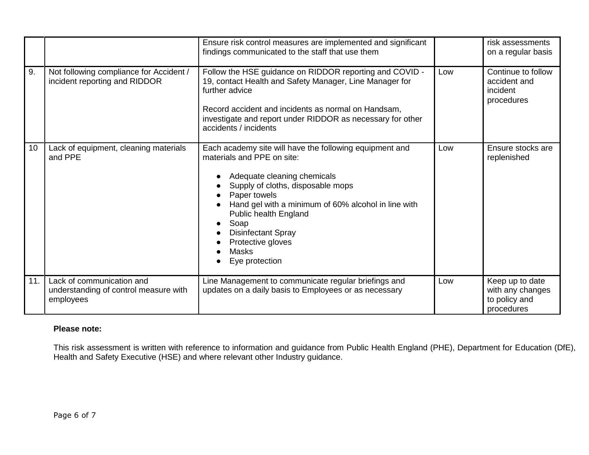|     |                                                                                 | Ensure risk control measures are implemented and significant<br>findings communicated to the staff that use them                                                                                                                                                                                                                                      |     | risk assessments<br>on a regular basis                             |
|-----|---------------------------------------------------------------------------------|-------------------------------------------------------------------------------------------------------------------------------------------------------------------------------------------------------------------------------------------------------------------------------------------------------------------------------------------------------|-----|--------------------------------------------------------------------|
| 9.  | Not following compliance for Accident /<br>incident reporting and RIDDOR        | Follow the HSE guidance on RIDDOR reporting and COVID -<br>19, contact Health and Safety Manager, Line Manager for<br>further advice<br>Record accident and incidents as normal on Handsam,<br>investigate and report under RIDDOR as necessary for other<br>accidents / incidents                                                                    | Low | Continue to follow<br>accident and<br>incident<br>procedures       |
| 10  | Lack of equipment, cleaning materials<br>and PPE                                | Each academy site will have the following equipment and<br>materials and PPE on site:<br>Adequate cleaning chemicals<br>Supply of cloths, disposable mops<br>Paper towels<br>Hand gel with a minimum of 60% alcohol in line with<br>Public health England<br>Soap<br><b>Disinfectant Spray</b><br>Protective gloves<br><b>Masks</b><br>Eye protection | Low | Ensure stocks are<br>replenished                                   |
| 11. | Lack of communication and<br>understanding of control measure with<br>employees | Line Management to communicate regular briefings and<br>updates on a daily basis to Employees or as necessary                                                                                                                                                                                                                                         | Low | Keep up to date<br>with any changes<br>to policy and<br>procedures |

## **Please note:**

This risk assessment is written with reference to information and guidance from Public Health England (PHE), Department for Education (DfE), Health and Safety Executive (HSE) and where relevant other Industry guidance.